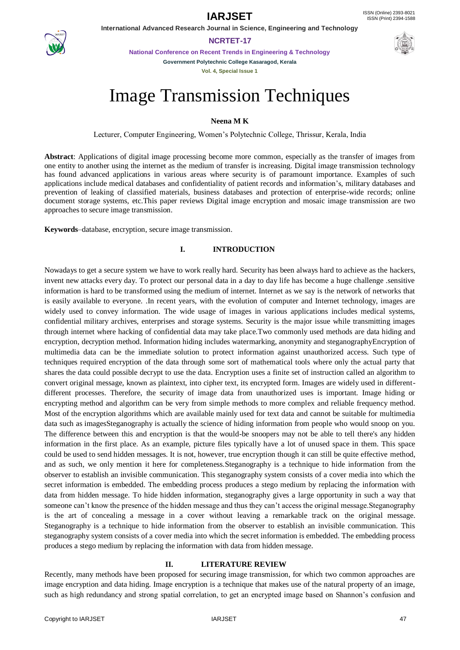**International Advanced Research Journal in Science, Engineering and Technology**

### **NCRTET-17**

**National Conference on Recent Trends in Engineering & Technology Government Polytechnic College Kasaragod, Kerala**

**Vol. 4, Special Issue 1**





# **Neena M K**

Lecturer, Computer Engineering, Women's Polytechnic College, Thrissur, Kerala, India

**Abstract**: Applications of digital image processing become more common, especially as the transfer of images from one entity to another using the internet as the medium of transfer is increasing. Digital image transmission technology has found advanced applications in various areas where security is of paramount importance. Examples of such applications include medical databases and confidentiality of patient records and information's, military databases and prevention of leaking of classified materials, business databases and protection of enterprise-wide records; online document storage systems, etc.This paper reviews Digital image encryption and mosaic image transmission are two approaches to secure image transmission.

**Keywords**–database, encryption, secure image transmission.

### **I. INTRODUCTION**

Nowadays to get a secure system we have to work really hard. Security has been always hard to achieve as the hackers, invent new attacks every day. To protect our personal data in a day to day life has become a huge challenge .sensitive information is hard to be transformed using the medium of internet. Internet as we say is the network of networks that is easily available to everyone. .In recent years, with the evolution of computer and Internet technology, images are widely used to convey information. The wide usage of images in various applications includes medical systems, confidential military archives, enterprises and storage systems. Security is the major issue while transmitting images through internet where hacking of confidential data may take place.Two commonly used methods are data hiding and encryption, decryption method. Information hiding includes watermarking, anonymity and steganographyEncryption of multimedia data can be the immediate solution to protect information against unauthorized access. Such type of techniques required encryption of the data through some sort of mathematical tools where only the actual party that shares the data could possible decrypt to use the data. Encryption uses a finite set of instruction called an algorithm to convert original message, known as plaintext, into cipher text, its encrypted form. Images are widely used in differentdifferent processes. Therefore, the security of image data from unauthorized uses is important. Image hiding or encrypting method and algorithm can be very from simple methods to more complex and reliable frequency method. Most of the encryption algorithms which are available mainly used for text data and cannot be suitable for multimedia data such as imagesSteganography is actually the science of hiding information from people who would snoop on you. The difference between this and encryption is that the would-be snoopers may not be able to tell there's any hidden information in the first place. As an example, picture files typically have a lot of unused space in them. This space could be used to send hidden messages. It is not, however, true encryption though it can still be quite effective method, and as such, we only mention it here for completeness.Steganography is a technique to hide information from the observer to establish an invisible communication. This steganography system consists of a cover media into which the secret information is embedded. The embedding process produces a stego medium by replacing the information with data from hidden message. To hide hidden information, steganography gives a large opportunity in such a way that someone can't know the presence of the hidden message and thus they can't access the original message.Steganography is the art of concealing a message in a cover without leaving a remarkable track on the original message. Steganography is a technique to hide information from the observer to establish an invisible communication. This steganography system consists of a cover media into which the secret information is embedded. The embedding process produces a stego medium by replacing the information with data from hidden message.

#### **II. LITERATURE REVIEW**

Recently, many methods have been proposed for securing image transmission, for which two common approaches are image encryption and data hiding. Image encryption is a technique that makes use of the natural property of an image, such as high redundancy and strong spatial correlation, to get an encrypted image based on Shannon's confusion and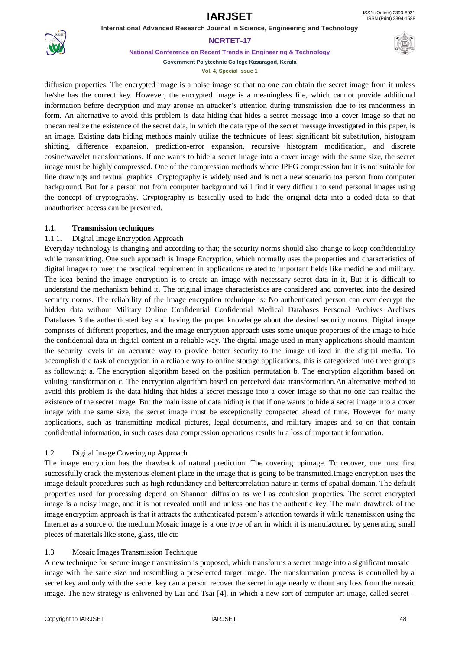**International Advanced Research Journal in Science, Engineering and Technology**



**NCRTET-17**

**National Conference on Recent Trends in Engineering & Technology**



**Government Polytechnic College Kasaragod, Kerala Vol. 4, Special Issue 1**

diffusion properties. The encrypted image is a noise image so that no one can obtain the secret image from it unless he/she has the correct key. However, the encrypted image is a meaningless file, which cannot provide additional information before decryption and may arouse an attacker's attention during transmission due to its randomness in form. An alternative to avoid this problem is data hiding that hides a secret message into a cover image so that no onecan realize the existence of the secret data, in which the data type of the secret message investigated in this paper, is an image. Existing data hiding methods mainly utilize the techniques of least significant bit substitution, histogram shifting, difference expansion, prediction-error expansion, recursive histogram modification, and discrete cosine/wavelet transformations. If one wants to hide a secret image into a cover image with the same size, the secret image must be highly compressed. One of the compression methods where JPEG compression but it is not suitable for line drawings and textual graphics .Cryptography is widely used and is not a new scenario toa person from computer background. But for a person not from computer background will find it very difficult to send personal images using the concept of cryptography. Cryptography is basically used to hide the original data into a coded data so that unauthorized access can be prevented.

# **1.1. Transmission techniques**

# 1.1.1. Digital Image Encryption Approach

Everyday technology is changing and according to that; the security norms should also change to keep confidentiality while transmitting. One such approach is Image Encryption, which normally uses the properties and characteristics of digital images to meet the practical requirement in applications related to important fields like medicine and military. The idea behind the image encryption is to create an image with necessary secret data in it, But it is difficult to understand the mechanism behind it. The original image characteristics are considered and converted into the desired security norms. The reliability of the image encryption technique is: No authenticated person can ever decrypt the hidden data without Military Online Confidential Confidential Medical Databases Personal Archives Archives Databases 3 the authenticated key and having the proper knowledge about the desired security norms. Digital image comprises of different properties, and the image encryption approach uses some unique properties of the image to hide the confidential data in digital content in a reliable way. The digital image used in many applications should maintain the security levels in an accurate way to provide better security to the image utilized in the digital media. To accomplish the task of encryption in a reliable way to online storage applications, this is categorized into three groups as following: a. The encryption algorithm based on the position permutation b. The encryption algorithm based on valuing transformation c. The encryption algorithm based on perceived data transformation.An alternative method to avoid this problem is the data hiding that hides a secret message into a cover image so that no one can realize the existence of the secret image. But the main issue of data hiding is that if one wants to hide a secret image into a cover image with the same size, the secret image must be exceptionally compacted ahead of time. However for many applications, such as transmitting medical pictures, legal documents, and military images and so on that contain confidential information, in such cases data compression operations results in a loss of important information.

# 1.2. Digital Image Covering up Approach

The image encryption has the drawback of natural prediction. The covering upimage. To recover, one must first successfully crack the mysterious element place in the image that is going to be transmitted.Image encryption uses the image default procedures such as high redundancy and bettercorrelation nature in terms of spatial domain. The default properties used for processing depend on Shannon diffusion as well as confusion properties. The secret encrypted image is a noisy image, and it is not revealed until and unless one has the authentic key. The main drawback of the image encryption approach is that it attracts the authenticated person's attention towards it while transmission using the Internet as a source of the medium.Mosaic image is a one type of art in which it is manufactured by generating small pieces of materials like stone, glass, tile etc

# 1.3. Mosaic Images Transmission Technique

A new technique for secure image transmission is proposed, which transforms a secret image into a significant mosaic image with the same size and resembling a preselected target image. The transformation process is controlled by a secret key and only with the secret key can a person recover the secret image nearly without any loss from the mosaic image. The new strategy is enlivened by Lai and Tsai [4], in which a new sort of computer art image, called secret –